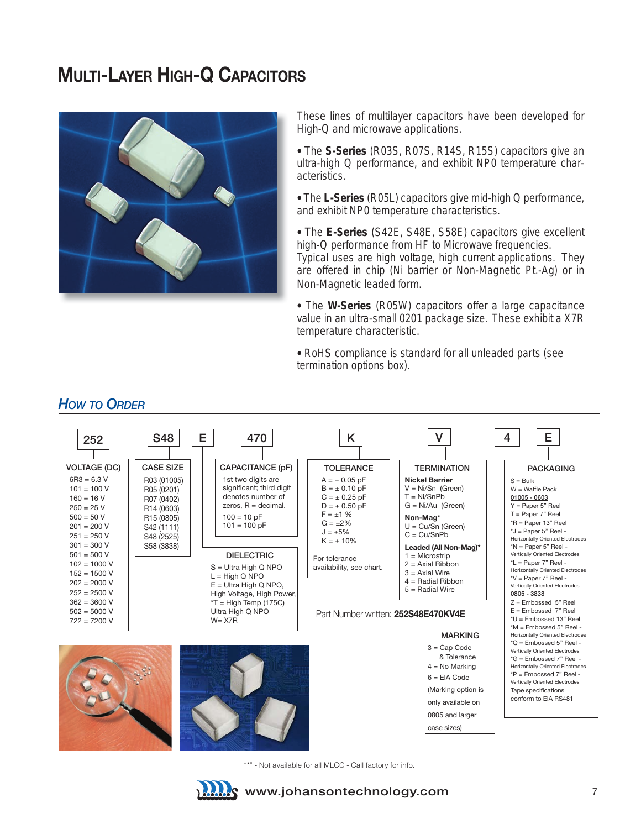# **MULTI-LAYER HIGH-Q CAPACITORS**



These lines of multilayer capacitors have been developed for High-Q and microwave applications.

• The **S-Series** (R03S, R07S, R14S, R15S) capacitors give an ultra-high Q performance, and exhibit NP0 temperature characteristics.

• The **L-Series** (R05L) capacitors give mid-high Q performance, and exhibit NP0 temperature characteristics.

• The **E-Series** (S42E, S48E, S58E) capacitors give excellent high-Q performance from HF to Microwave frequencies. Typical uses are high voltage, high current applications. They are offered in chip (Ni barrier or Non-Magnetic Pt.-Ag) or in Non-Magnetic leaded form.

• The **W-Series** (R05W) capacitors offer a large capacitance value in an ultra-small 0201 package size. These exhibit a X7R temperature characteristic.

• RoHS compliance is standard for all unleaded parts (see termination options box).



"\*" - Not available for all MLCC - Call factory for info.



#### *HOW TO ORDER*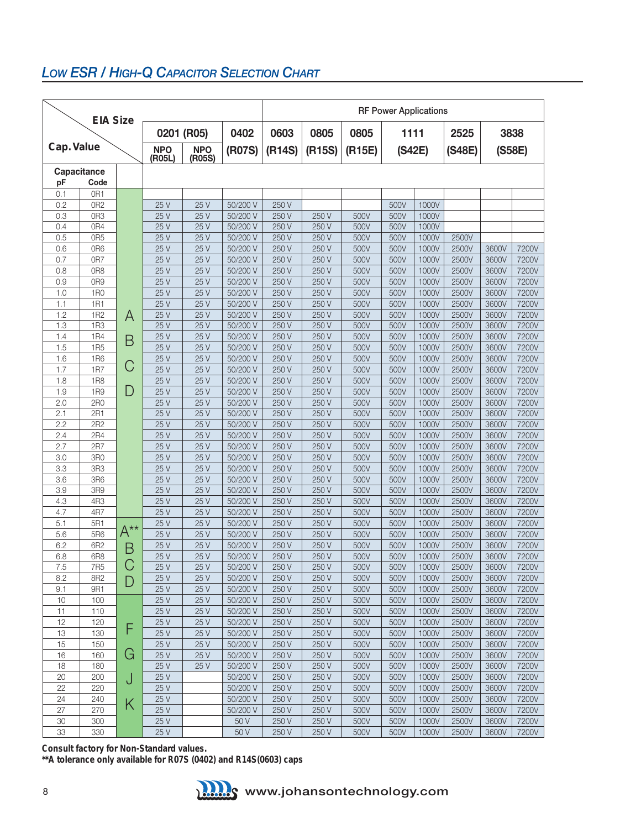## *low eSR / HigH-Q CapaCiToR SeleCTion CHaRT*

| <b>EIA Size</b>    |                 |          |                      |                      |                      |                | <b>RF Power Applications</b> |              |              |                |                |                |                |  |
|--------------------|-----------------|----------|----------------------|----------------------|----------------------|----------------|------------------------------|--------------|--------------|----------------|----------------|----------------|----------------|--|
| 0201 (R05)<br>0402 |                 |          |                      |                      |                      | 0603           | 0805                         | 0805         |              | 2525<br>1111   |                |                | 3838           |  |
| Cap. Value         |                 |          | <b>NPO</b><br>(R05L) | <b>NPO</b><br>(R05S) | (R07S)               | (R14S)         | (R15S)                       | (R15E)       | (S42E)       |                | (S48E)         | (S58E)         |                |  |
|                    | Capacitance     |          |                      |                      |                      |                |                              |              |              |                |                |                |                |  |
| pF                 | Code            |          |                      |                      |                      |                |                              |              |              |                |                |                |                |  |
| 0.1                | OR1             |          |                      |                      |                      |                |                              |              |              |                |                |                |                |  |
| 0.2                | 0R2             |          | 25 V                 | 25 V                 | 50/200 V             | 250 V          |                              |              | 500V         | 1000V          |                |                |                |  |
| 0.3                | OR <sub>3</sub> |          | 25 V                 | 25 V                 | 50/200 V             | 250 V          | 250 V                        | 500V         | 500V         | 1000V          |                |                |                |  |
| 0.4                | 0R4             |          | 25 V                 | 25 V                 | 50/200 V             | 250 V          | 250 V                        | 500V         | 500V         | 1000V          |                |                |                |  |
| 0.5                | 0R <sub>5</sub> |          | 25 V                 | 25 V                 | 50/200 V             | 250 V          | 250 V                        | 500V         | 500V         | 1000V          | 2500V          |                |                |  |
| 0.6<br>0.7         | 0R6<br>0R7      |          | 25 V<br>25 V         | 25 V<br>25 V         | 50/200 V<br>50/200 V | 250 V<br>250 V | 250 V<br>250 V               | 500V<br>500V | 500V         | 1000V<br>1000V | 2500V<br>2500V | 3600V<br>3600V | 7200V<br>7200V |  |
| 0.8                | OR <sub>8</sub> |          | 25 V                 | 25 V                 | 50/200 V             | 250 V          | 250 V                        | 500V         | 500V<br>500V | 1000V          | 2500V          | 3600V          | 7200V          |  |
| 0.9                | 0R9             |          | 25 V                 | 25 V                 | 50/200 V             | 250 V          | 250 V                        | 500V         | 500V         | 1000V          | 2500V          | 3600V          | 7200V          |  |
| 1.0                | <b>1R0</b>      |          | 25 V                 | 25 V                 | 50/200 V             | 250 V          | 250 V                        | 500V         | 500V         | 1000V          | 2500V          | 3600V          | 7200V          |  |
| 1.1                | 1R1             |          | 25 V                 | 25 V                 | 50/200 V             | 250 V          | 250 V                        | 500V         | 500V         | 1000V          | 2500V          | 3600V          | 7200V          |  |
| 1.2                | 1R2             | A        | 25 V                 | 25 V                 | 50/200 V             | 250 V          | 250 V                        | 500V         | 500V         | 1000V          | 2500V          | 3600V          | 7200V          |  |
| 1.3                | <b>1R3</b>      |          | 25 V                 | 25 V                 | 50/200 V             | 250 V          | 250 V                        | 500V         | 500V         | 1000V          | 2500V          | 3600V          | 7200V          |  |
| 1.4                | <b>1R4</b>      |          | 25 V                 | 25 V                 | 50/200 V             | 250 V          | 250 V                        | 500V         | 500V         | 1000V          | 2500V          | 3600V          | 7200V          |  |
| 1.5                | <b>1R5</b>      | B        | 25 V                 | 25 V                 | 50/200 V             | 250 V          | 250 V                        | 500V         | 500V         | 1000V          | 2500V          | 3600V          | 7200V          |  |
| 1.6                | <b>1R6</b>      |          | 25 V                 | 25 V                 | 50/200 V             | 250 V          | 250 V                        | 500V         | 500V         | 1000V          | 2500V          | 3600V          | 7200V          |  |
| 1.7                | <b>1R7</b>      | C        | 25 V                 | 25 V                 | 50/200 V             | 250 V          | 250 V                        | 500V         | 500V         | 1000V          | 2500V          | 3600V          | 7200V          |  |
| 1.8                | <b>1R8</b>      |          | 25 V                 | 25 V                 | 50/200 V             | 250 V          | 250 V                        | 500V         | 500V         | 1000V          | 2500V          | 3600V          | 7200V          |  |
| 1.9                | <b>1R9</b>      | D        | 25 V                 | 25 V                 | 50/200 V             | 250 V          | 250 V                        | 500V         | 500V         | 1000V          | 2500V          | 3600V          | 7200V          |  |
| 2.0                | 2R0             |          | 25 V                 | 25 V                 | 50/200 V             | 250 V          | 250 V                        | 500V         | 500V         | 1000V          | 2500V          | 3600V          | 7200V          |  |
| 2.1                | 2R1             |          | 25 V                 | 25 V                 | 50/200 V             | 250 V          | 250 V                        | 500V         | 500V         | 1000V          | 2500V          | 3600V          | 7200V          |  |
| 2.2                | 2R2             |          | 25 V                 | 25 V                 | 50/200 V             | 250 V          | 250 V                        | 500V         | 500V         | 1000V          | 2500V          | 3600V          | 7200V          |  |
| 2.4                | 2R4             |          | 25 V                 | 25 V                 | 50/200 V             | 250 V          | 250 V                        | 500V         | 500V         | 1000V          | 2500V          | 3600V          | 7200V          |  |
| 2.7                | 2R7             |          | 25 V                 | 25 V                 | 50/200 V             | 250 V          | 250 V                        | 500V         | 500V         | 1000V          | 2500V          | 3600V          | 7200V          |  |
| 3.0                | 3R0             |          | 25 V                 | 25 V                 | 50/200 V             | 250 V          | 250 V                        | 500V         | 500V         | 1000V          | 2500V          | 3600V          | 7200V          |  |
| 3.3                | 3R3             |          | 25 V                 | 25 V                 | 50/200 V             | 250 V          | 250 V                        | 500V         | 500V         | 1000V          | 2500V          | 3600V          | 7200V          |  |
| 3.6                | 3R6             |          | 25 V                 | 25 V                 | 50/200 V             | 250 V          | 250 V                        | 500V         | 500V         | 1000V          | 2500V          | 3600V          | 7200V          |  |
| 3.9                | 3R9             |          | 25 V                 | 25 V                 | 50/200 V             | 250 V          | 250 V                        | 500V         | 500V         | 1000V          | 2500V          | 3600V          | 7200V          |  |
| 4.3                | 4R3             |          | 25 V                 | 25 V                 | 50/200 V             | 250 V          | 250 V                        | 500V         | 500V         | 1000V          | 2500V          | 3600V          | 7200V          |  |
| 4.7                | 4R7             |          | 25 V                 | 25 V                 | 50/200 V             | 250 V          | 250 V                        | 500V         | 500V         | 1000V          | 2500V          | 3600V          | 7200V          |  |
| 5.1                | 5R1             | $A^{**}$ | 25 V                 | 25 V                 | 50/200 V             | 250 V          | 250 V                        | 500V         | 500V         | 1000V          | 2500V          | 3600V          | 7200V          |  |
| 5.6<br>6.2         | 5R6<br>6R2      |          | 25 V<br>25 V         | 25 V<br>25 V         | 50/200 V<br>50/200 V | 250 V<br>250 V | 250 V<br>250 V               | 500V<br>500V | 500V<br>500V | 1000V<br>1000V | 2500V<br>2500V | 3600V<br>3600V | 7200V<br>7200V |  |
| 6.8                | 6R8             | Β        | 25 V                 | 25 V                 | 50/200 V             | 250 V          | 250 V                        | 500V         | 500V         | 1000V          | 2500V          | 3600V          | 7200V          |  |
| 7.5                | <b>7R5</b>      | С        | 25V                  | 25 V                 | 50/200 V             | 250 V          | 250 V                        | 500V         | 500V         | 1000V          | 2500V          | 3600V          | 7200V          |  |
| 8.2                | 8R2             |          | 25 V                 | 25 V                 | 50/200 V             | 250 V          | 250 V                        | 500V         | 500V         | 1000V          | 2500V          | 3600V          | 7200V          |  |
| 9.1                | 9R1             | D        | 25 V                 | 25 V                 | 50/200 V             | 250 V          | 250 V                        | 500V         | 500V         | 1000V          | 2500V          | 3600V          | 7200V          |  |
| 10                 | 100             |          | 25 V                 | 25 V                 | 50/200 V             | 250 V          | 250 V                        | 500V         | 500V         | 1000V          | 2500V          | 3600V          | 7200V          |  |
| 11                 | 110             |          | 25 V                 | 25 V                 | 50/200 V             | 250 V          | 250 V                        | 500V         | 500V         | 1000V          | 2500V          | 3600V          | 7200V          |  |
| 12                 | 120             |          | 25 V                 | 25 V                 | 50/200 V             | 250 V          | 250 V                        | 500V         | 500V         | 1000V          | 2500V          | 3600V          | 7200V          |  |
| 13                 | 130             | F        | 25 V                 | 25 V                 | 50/200 V             | 250 V          | 250 V                        | 500V         | 500V         | 1000V          | 2500V          | 3600V          | 7200V          |  |
| 15                 | 150             |          | 25 V                 | 25 V                 | 50/200 V             | 250 V          | 250 V                        | 500V         | 500V         | 1000V          | 2500V          | 3600V          | 7200V          |  |
| 16                 | 160             | G        | 25 V                 | 25 V                 | 50/200 V             | 250 V          | 250 V                        | 500V         | 500V         | 1000V          | 2500V          | 3600V          | 7200V          |  |
| 18                 | 180             |          | 25 V                 | 25 V                 | 50/200 V             | 250 V          | 250 V                        | 500V         | 500V         | 1000V          | 2500V          | 3600V          | 7200V          |  |
| 20                 | 200             | J        | 25 V                 |                      | 50/200 V             | 250 V          | 250 V                        | 500V         | 500V         | 1000V          | 2500V          | 3600V          | 7200V          |  |
| 22                 | 220             |          | 25 V                 |                      | 50/200 V             | 250 V          | 250 V                        | 500V         | 500V         | 1000V          | 2500V          | 3600V          | 7200V          |  |
| 24                 | 240             | K        | 25 V                 |                      | 50/200 V             | 250 V          | 250 V                        | 500V         | 500V         | 1000V          | 2500V          | 3600V          | 7200V          |  |
| 27                 | 270             |          | 25 V                 |                      | 50/200 V             | 250 V          | 250 V                        | 500V         | 500V         | 1000V          | 2500V          | 3600V          | 7200V          |  |
| 30                 | 300             |          | 25 V                 |                      | 50 V                 | 250 V          | 250 V                        | 500V         | 500V         | 1000V          | 2500V          | 3600V          | 7200V          |  |
| 33                 | 330             |          | 25 V                 |                      | 50 V                 | 250 V          | 250 V                        | 500V         | 500V         | 1000V          | 2500V          | 3600V          | 7200V          |  |

**Consult factory for Non-Standard values. \*\*A tolerance only available for R07S (0402) and R14S(0603) caps** 

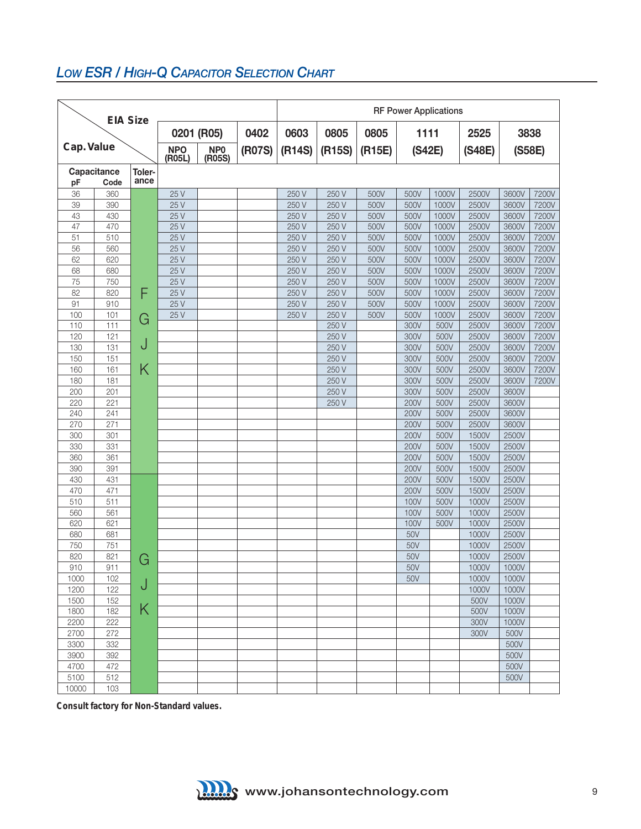## *low eSR / HigH-Q CapaCiToR SeleCTion CHaRT*

| <b>EIA Size</b> |                     |                |                      |                           |        | <b>RF Power Applications</b> |        |        |                  |       |       |        |       |  |
|-----------------|---------------------|----------------|----------------------|---------------------------|--------|------------------------------|--------|--------|------------------|-------|-------|--------|-------|--|
|                 |                     |                |                      | 0201 (R05)                | 0402   | 0603                         | 0805   | 0805   | 2525<br>1111     |       |       |        | 3838  |  |
| Cap. Value      |                     |                | <b>NPO</b><br>(R05L) | NP <sub>0</sub><br>(R05S) | (R07S) | (R14S)                       | (R15S) | (R15E) | (S42E)<br>(S48E) |       |       | (S58E) |       |  |
| pF              | Capacitance<br>Code | Toler-<br>ance |                      |                           |        |                              |        |        |                  |       |       |        |       |  |
| 36              | 360                 |                | 25 V                 |                           |        | 250 V                        | 250 V  | 500V   | 500V             | 1000V | 2500V | 3600V  | 7200V |  |
| 39              | 390                 |                | 25 V                 |                           |        | 250 V                        | 250 V  | 500V   | 500V             | 1000V | 2500V | 3600V  | 7200V |  |
| 43              | 430                 |                | 25 V                 |                           |        | 250 V                        | 250 V  | 500V   | 500V             | 1000V | 2500V | 3600V  | 7200V |  |
| 47              | 470                 |                | 25 V                 |                           |        | 250 V                        | 250 V  | 500V   | 500V             | 1000V | 2500V | 3600V  | 7200V |  |
| 51              | 510                 |                | 25 V                 |                           |        | 250 V                        | 250 V  | 500V   | 500V             | 1000V | 2500V | 3600V  | 7200V |  |
| 56              | 560                 |                | 25 V                 |                           |        | 250 V                        | 250 V  | 500V   | 500V             | 1000V | 2500V | 3600V  | 7200V |  |
| 62              | 620                 |                | 25 V                 |                           |        | 250 V                        | 250 V  | 500V   | 500V             | 1000V | 2500V | 3600V  | 7200V |  |
| 68              | 680                 |                | 25 V                 |                           |        | 250 V                        | 250 V  | 500V   | 500V             | 1000V | 2500V | 3600V  | 7200V |  |
| 75              | 750                 |                | 25 V                 |                           |        | 250 V                        | 250 V  | 500V   | 500V             | 1000V | 2500V | 3600V  | 7200V |  |
| 82              | 820                 | F              | 25 V                 |                           |        | 250 V                        | 250 V  | 500V   | 500V             | 1000V | 2500V | 3600V  | 7200V |  |
| 91              | 910                 |                | 25 V                 |                           |        | 250 V                        | 250 V  | 500V   | 500V             | 1000V | 2500V | 3600V  | 7200V |  |
| 100             | 101                 | G              | 25 V                 |                           |        | 250 V                        | 250 V  | 500V   | 500V             | 1000V | 2500V | 3600V  | 7200V |  |
| 110             | 111                 |                |                      |                           |        |                              | 250 V  |        | 300V             | 500V  | 2500V | 3600V  | 7200V |  |
| 120             | 121                 |                |                      |                           |        |                              | 250 V  |        | 300V             | 500V  | 2500V | 3600V  | 7200V |  |
| 130             | 131                 | J              |                      |                           |        |                              | 250 V  |        | 300V             | 500V  | 2500V | 3600V  | 7200V |  |
| 150             | 151                 |                |                      |                           |        |                              | 250 V  |        | 300V             | 500V  | 2500V | 3600V  | 7200V |  |
| 160             | 161                 | Κ              |                      |                           |        |                              | 250 V  |        | 300V             | 500V  | 2500V | 3600V  | 7200V |  |
| 180             | 181                 |                |                      |                           |        |                              | 250 V  |        | 300V             | 500V  | 2500V | 3600V  | 7200V |  |
| 200             | 201                 |                |                      |                           |        |                              | 250 V  |        | 300V             | 500V  | 2500V | 3600V  |       |  |
| 220             | 221                 |                |                      |                           |        |                              | 250 V  |        | 200V             | 500V  | 2500V | 3600V  |       |  |
| 240             | 241                 |                |                      |                           |        |                              |        |        | 200V             | 500V  | 2500V | 3600V  |       |  |
| 270             | 271                 |                |                      |                           |        |                              |        |        | 200V             | 500V  | 2500V | 3600V  |       |  |
| 300             | 301                 |                |                      |                           |        |                              |        |        | 200V             | 500V  | 1500V | 2500V  |       |  |
| 330             | 331                 |                |                      |                           |        |                              |        |        | <b>200V</b>      | 500V  | 1500V | 2500V  |       |  |
| 360             | 361                 |                |                      |                           |        |                              |        |        | 200V             | 500V  | 1500V | 2500V  |       |  |
| 390             | 391                 |                |                      |                           |        |                              |        |        | 200V             | 500V  | 1500V | 2500V  |       |  |
| 430             | 431                 |                |                      |                           |        |                              |        |        | 200V             | 500V  | 1500V | 2500V  |       |  |
| 470             | 471                 |                |                      |                           |        |                              |        |        | 200V             | 500V  | 1500V | 2500V  |       |  |
| 510             | 511                 |                |                      |                           |        |                              |        |        | 100V             | 500V  | 1000V | 2500V  |       |  |
| 560             | 561                 |                |                      |                           |        |                              |        |        | 100V             | 500V  | 1000V | 2500V  |       |  |
| 620             | 621                 |                |                      |                           |        |                              |        |        | 100V             | 500V  | 1000V | 2500V  |       |  |
| 680             | 681                 |                |                      |                           |        |                              |        |        | 50V              |       | 1000V | 2500V  |       |  |
| 750             | 751                 |                |                      |                           |        |                              |        |        | 50V              |       | 1000V | 2500V  |       |  |
| 820             | 821                 | G              |                      |                           |        |                              |        |        | 50V              |       | 1000V | 2500V  |       |  |
| 910             | 911                 |                |                      |                           |        |                              |        |        | 50V              |       | 1000V | 1000V  |       |  |
| 1000            | 102                 |                |                      |                           |        |                              |        |        | 50V              |       | 1000V | 1000V  |       |  |
| 1200            | 122                 | J              |                      |                           |        |                              |        |        |                  |       | 1000V | 1000V  |       |  |
| 1500            | 152                 |                |                      |                           |        |                              |        |        |                  |       | 500V  | 1000V  |       |  |
| 1800            | 182                 | Κ              |                      |                           |        |                              |        |        |                  |       | 500V  | 1000V  |       |  |
| 2200            | 222                 |                |                      |                           |        |                              |        |        |                  |       | 300V  | 1000V  |       |  |
| 2700            | 272                 |                |                      |                           |        |                              |        |        |                  |       | 300V  | 500V   |       |  |
| 3300            | 332                 |                |                      |                           |        |                              |        |        |                  |       |       | 500V   |       |  |
| 3900            | 392                 |                |                      |                           |        |                              |        |        |                  |       |       | 500V   |       |  |
| 4700            | 472                 |                |                      |                           |        |                              |        |        |                  |       |       | 500V   |       |  |
| 5100            | 512                 |                |                      |                           |        |                              |        |        |                  |       |       | 500V   |       |  |
| 10000           | 103                 |                |                      |                           |        |                              |        |        |                  |       |       |        |       |  |

**Consult factory for Non-Standard values.**

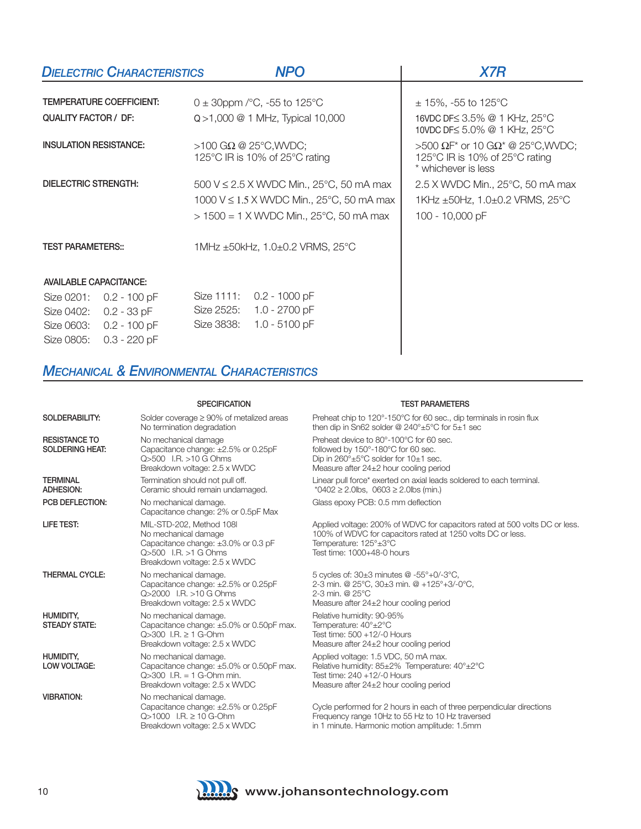|                               | <b>DIELECTRIC CHARACTERISTICS</b> |            | <b>NPO</b>                                                        | <b>X7R</b>                                                                                |  |  |  |
|-------------------------------|-----------------------------------|------------|-------------------------------------------------------------------|-------------------------------------------------------------------------------------------|--|--|--|
|                               |                                   |            |                                                                   |                                                                                           |  |  |  |
|                               | <b>TEMPERATURE COEFFICIENT:</b>   |            | 0 ± 30ppm / $^{\circ}$ C, -55 to 125 $^{\circ}$ C                 | $\pm$ 15%, -55 to 125 °C                                                                  |  |  |  |
| <b>QUALITY FACTOR / DF:</b>   |                                   |            | $Q > 1,000 \ @ \ 1 \ \text{MHz}$ , Typical 10,000                 | 16VDC DF≤ 3.5% @ 1 KHz, 25°C<br>10VDC DF≤ 5.0% @ 1 KHz, 25°C                              |  |  |  |
| <b>INSULATION RESISTANCE:</b> |                                   |            | $>100$ G $\Omega$ @ 25°C, WVDC;<br>125°C IR is 10% of 25°C rating | >500 ΩF* or 10 GΩ* @ 25°C, WVDC;<br>125°C IR is 10% of 25°C rating<br>* whichever is less |  |  |  |
| DIELECTRIC STRENGTH:          |                                   |            | 500 V $\leq$ 2.5 X WVDC Min., 25°C, 50 mA max                     | $2.5$ X WVDC Min., $25^{\circ}$ C, 50 mA max                                              |  |  |  |
|                               |                                   |            | 1000 V ≤ 1.5 X WVDC Min., 25°C, 50 mA max                         | 1KHz ±50Hz, 1.0±0.2 VRMS, 25°C                                                            |  |  |  |
|                               |                                   |            | $> 1500 = 1$ X WVDC Min., 25°C, 50 mA max                         | 100 - 10,000 pF                                                                           |  |  |  |
| <b>TEST PARAMETERS::</b>      |                                   |            | 1MHz $\pm$ 50kHz, 1.0 $\pm$ 0.2 VRMS, 25 $^{\circ}$ C             |                                                                                           |  |  |  |
| <b>AVAILABLE CAPACITANCE:</b> |                                   |            |                                                                   |                                                                                           |  |  |  |
| Size 0201:<br>$0.2 - 100$ pF  |                                   | Size 1111: | $0.2 - 1000$ pF                                                   |                                                                                           |  |  |  |
| Size 0402:                    | 0.2 - 33 pF                       | Size 2525: | 1.0 - 2700 pF                                                     |                                                                                           |  |  |  |
| Size 0603:<br>Size 0805:      | $0.2 - 100 pF$<br>$0.3 - 220$ pF  | Size 3838: | $1.0 - 5100$ pF                                                   |                                                                                           |  |  |  |

#### *MECHANICAL & ENVIRONMENTAL CHARACTERISTICS*

| SOLDERABILITY:                                 | Solder coverage $\geq 90\%$ of metalized areas<br>No termination degradation                                                                           | Preheat chip to 120°-150°C for 60 sec., dip terminals in rosin flux<br>then dip in Sn62 solder @ $240^{\circ} \pm 5^{\circ}$ C for $5 \pm 1$ sec                                                  |
|------------------------------------------------|--------------------------------------------------------------------------------------------------------------------------------------------------------|---------------------------------------------------------------------------------------------------------------------------------------------------------------------------------------------------|
| <b>RESISTANCE TO</b><br><b>SOLDERING HEAT:</b> | No mechanical damage<br>Capacitance change: ±2.5% or 0.25pF<br>Q>500 I.R. >10 G Ohms<br>Breakdown voltage: 2.5 x WVDC                                  | Preheat device to 80°-100°C for 60 sec.<br>followed by 150°-180°C for 60 sec.<br>Dip in $260^\circ \pm 5^\circ \text{C}$ solder for $10 \pm 1$ sec.<br>Measure after $24\pm2$ hour cooling period |
| <b>TERMINAL</b><br><b>ADHESION:</b>            | Termination should not pull off.<br>Ceramic should remain undamaged.                                                                                   | Linear pull force* exerted on axial leads soldered to each terminal.<br>*0402 $\geq$ 2.0lbs, 0603 $\geq$ 2.0lbs (min.)                                                                            |
| PCB DEFLECTION:                                | No mechanical damage.<br>Capacitance change: 2% or 0.5pF Max                                                                                           | Glass epoxy PCB: 0.5 mm deflection                                                                                                                                                                |
| LIFE TEST:                                     | MIL-STD-202, Method 108I<br>No mechanical damage<br>Capacitance change: ±3.0% or 0.3 pF<br>$Q > 500$ I.B. $>1$ G Ohms<br>Breakdown voltage: 2.5 x WVDC | Applied voltage: 200% of WDVC for capacitors rated at 500 volts DC or less.<br>100% of WDVC for capacitors rated at 1250 volts DC or less.<br>Temperature: 125°±3°C<br>Test time: 1000+48-0 hours |
| <b>THERMAL CYCLE:</b>                          | No mechanical damage.<br>Capacitance change: ±2.5% or 0.25pF<br>$Q > 2000$ I.B. $> 10$ G Ohms<br>Breakdown voltage: 2.5 x WVDC                         | 5 cycles of: 30±3 minutes @ -55°+0/-3°C,<br>2-3 min. @ 25°C, 30±3 min. @ +125°+3/-0°C,<br>2-3 min. @ $25^{\circ}$ C<br>Measure after $24\pm2$ hour cooling period                                 |
| HUMIDITY,<br><b>STEADY STATE:</b>              | No mechanical damage.<br>Capacitance change: ±5.0% or 0.50pF max.<br>$Q > 300$ I.R. $\geq 1$ G-Ohm<br>Breakdown voltage: 2.5 x WVDC                    | Relative humidity: 90-95%<br>Temperature: 40°±2°C<br>Test time: 500 +12/-0 Hours<br>Measure after $24\pm2$ hour cooling period                                                                    |
| HUMIDITY,<br>LOW VOLTAGE:                      | No mechanical damage.<br>Capacitance change: ±5.0% or 0.50pF max.<br>$Q > 300$ I.R. = 1 G-Ohm min.<br>Breakdown voltage: 2.5 x WVDC                    | Applied voltage: 1.5 VDC, 50 mA max.<br>Relative humidity: 85±2% Temperature: 40°±2°C<br>Test time: 240 +12/-0 Hours<br>Measure after 24±2 hour cooling period                                    |
| <b>VIBRATION:</b>                              | No mechanical damage.<br>Capacitance change: ±2.5% or 0.25pF<br>$Q > 1000$ I.R. $\geq 10$ G-Ohm<br>Breakdown voltage: 2.5 x WVDC                       | Cycle performed for 2 hours in each of three perpendicular directions<br>Frequency range 10Hz to 55 Hz to 10 Hz traversed<br>in 1 minute. Harmonic motion amplitude: 1.5mm                        |



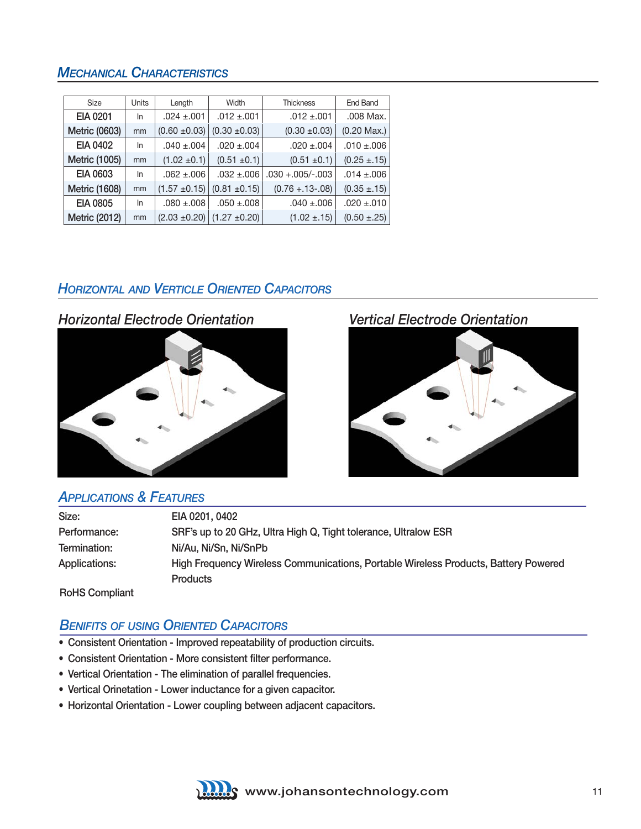#### *MECHANICAL CHARACTERISTICS*

| <b>Size</b>          | Units | Length            | Width                                | <b>Thickness</b>    | End Band         |
|----------------------|-------|-------------------|--------------------------------------|---------------------|------------------|
| <b>EIA 0201</b>      | In    | $.024 \pm .001$   | $.012 \pm .001$                      | $.012 \pm .001$     | .008 Max.        |
| Metric (0603)        | mm    | $(0.60 \pm 0.03)$ | $(0.30 \pm 0.03)$                    | $(0.30 \pm 0.03)$   | $(0.20$ Max.)    |
| EIA 0402             | In    | $.040 \pm .004$   | $.020 \pm .004$                      | $.020 \pm .004$     | $.010 \pm .006$  |
| Metric (1005)        | mm    | $(1.02 \pm 0.1)$  | $(0.51 \pm 0.1)$                     | $(0.51 \pm 0.1)$    | $(0.25 \pm .15)$ |
| <b>EIA 0603</b>      | In    | $.062 + .006$     | $.032 + .006$                        | $.030 + .005/-.003$ | $.014 \pm .006$  |
| <b>Metric (1608)</b> | mm    | $(1.57 \pm 0.15)$ | $(0.81 \pm 0.15)$                    | $(0.76 + 13 - 08)$  | $(0.35 \pm .15)$ |
| <b>EIA 0805</b>      | In    | $.080 \pm .008$   | $.050 + .008$                        | $.040 \pm .006$     | $.020 \pm .010$  |
| Metric (2012)        | mm    |                   | $(2.03 \pm 0.20)$ (1.27 $\pm 0.20$ ) | $(1.02 \pm .15)$    | $(0.50 \pm .25)$ |

#### *HoRizonTal anD VeRTiCle oRienTeD CapaCiToRS*



#### *appliCaTionS & FeaTuReS*

| Size:                | EIA 0201, 0402                                                                      |
|----------------------|-------------------------------------------------------------------------------------|
| Performance:         | SRF's up to 20 GHz, Ultra High Q, Tight tolerance, Ultralow ESR                     |
| Termination:         | Ni/Au, Ni/Sn, Ni/SnPb                                                               |
| <b>Applications:</b> | High Frequency Wireless Communications, Portable Wireless Products, Battery Powered |
|                      | <b>Products</b>                                                                     |
|                      |                                                                                     |

RoHS Compliant

#### **BENIFITS OF USING ORIENTED CAPACITORS**

- Consistent Orientation Improved repeatability of production circuits.
- Consistent Orientation More consistent filter performance.
- Vertical Orientation The elimination of parallel frequencies.
- Vertical Orinetation Lower inductance for a given capacitor.
- Horizontal Orientation Lower coupling between adjacent capacitors.

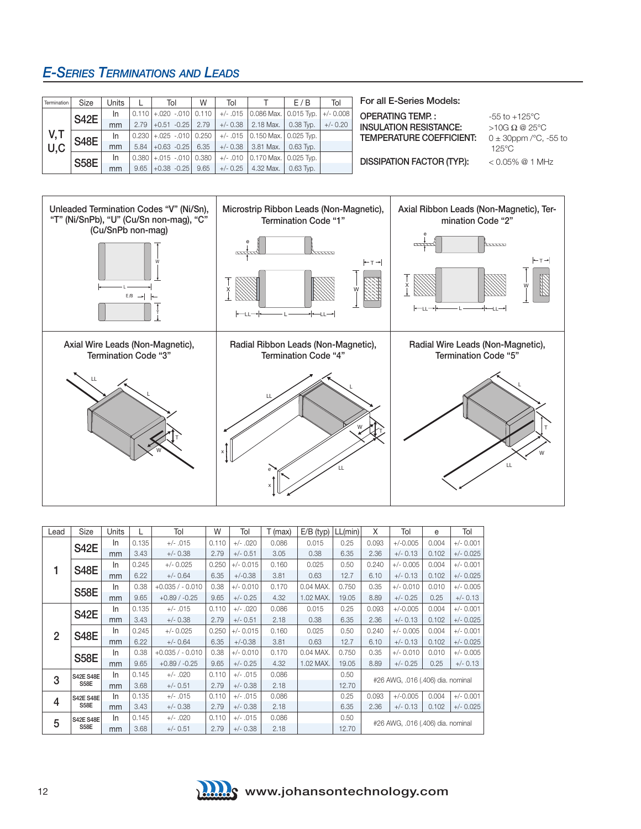#### *e-SeRieS TeRminaTionS anD leaDS*

| Termination | Size        | <b>Units</b> |      | Tol                               | W    | Tol        |                                                               | E/B         | Tol         |
|-------------|-------------|--------------|------|-----------------------------------|------|------------|---------------------------------------------------------------|-------------|-------------|
|             | <b>S42E</b> | In.          |      | $0.110$ + 020 - 010 0.110         |      |            | +/- .015 0.086 Max. 0.015 Typ.                                |             | $+/- 0.008$ |
|             |             | mm           | 2.79 | $ -0.51 - 0.25 $ 2.79             |      | $+/- 0.38$ | 2.18 Max.                                                     | 0.38 Typ.   | $+/- 0.20$  |
| V,T<br>U,C  | <b>S48E</b> | In           |      | $0.230$ + $.025$ - $.010$   0.250 |      |            | +/- .015 $\vert 0.150 \text{ Max.} \vert 0.025 \text{ Type.}$ |             |             |
|             |             | mm           | 5.84 | $+0.63 -0.25$                     | 6.35 | $+/- 0.38$ | 3.81 Max.                                                     | $0.63$ Typ. |             |
|             | <b>S58E</b> | In.          |      | $0.380 + 0.015 - 0.01000380$      |      |            | $+/-$ .010 0.170 Max. 0.025 Tvp.                              |             |             |
|             |             | mm           | 9.65 | $ +0.38 -0.25 $                   | 9.65 | $+/- 0.25$ | 4.32 Max.                                                     | $0.63$ Typ. |             |

#### For all E-Series Models:

OPERATING TEMP.:  $-55 \text{ to } +125^{\circ} \text{C}$ INSULATION RESISTANCE:  $>10G \Omega \t Q 25^{\circ}C$ <br>TEMPERATURE COEFFICIENT:  $0 \pm 30$ ppm /°C, -55 to TEMPERATURE COEFFICIENT:

 125°C DISSIPATION FACTOR (TYP.): < 0.05% @ 1 MHz



| Lead           | Size             | Units     |       | Tol              | W     | Tol         | $T$ (max) | $E/B$ (typ) | LL(min) | X                                 | Tol         | e                                                                                                                         | Tol         |
|----------------|------------------|-----------|-------|------------------|-------|-------------|-----------|-------------|---------|-----------------------------------|-------------|---------------------------------------------------------------------------------------------------------------------------|-------------|
|                |                  | <b>In</b> | 0.135 | $+/- .015$       | 0.110 | $+/- .020$  | 0.086     | 0.015       | 0.25    | 0.093                             | $+/-0.005$  | 0.004                                                                                                                     | $+/- 0.001$ |
|                | <b>S42E</b>      | mm        | 3.43  | $+/- 0.38$       | 2.79  | $+/- 0.51$  | 3.05      | 0.38        | 6.35    | 2.36                              | $+/- 0.13$  | 0.102                                                                                                                     | $+/- 0.025$ |
|                | <b>S48E</b>      | In        | 0.245 | $+/- 0.025$      | 0.250 | $+/- 0.015$ | 0.160     | 0.025       | 0.50    | 0.240                             | $+/- 0.005$ | 0.004                                                                                                                     | $+/- 0.001$ |
|                |                  | mm        | 6.22  | $+/- 0.64$       | 6.35  | $+/-0.38$   | 3.81      | 0.63        | 12.7    | 6.10                              | $+/- 0.13$  | 0.102<br>0.010<br>0.25<br>0.004<br>0.102<br>0.004<br>0.102<br>0.010<br>0.25<br>#26 AWG, .016 (.406) dia. nominal<br>0.004 | $+/- 0.025$ |
|                | <b>S58E</b>      | In.       | 0.38  | $+0.035/ -0.010$ | 0.38  | $+/- 0.010$ | 0.170     | 0.04 MAX.   | 0.750   | 0.35                              | $+/- 0.010$ |                                                                                                                           | $+/- 0.005$ |
|                |                  | mm        | 9.65  | $+0.89/ -0.25$   | 9.65  | $+/- 0.25$  | 4.32      | 1.02 MAX.   | 19.05   | 8.89                              | $+/- 0.25$  |                                                                                                                           | $+/- 0.13$  |
|                | <b>S42E</b>      | In        | 0.135 | $+/- .015$       | 0.110 | $+/- .020$  | 0.086     | 0.015       | 0.25    | 0.093                             | $+/-0.005$  |                                                                                                                           | $+/- 0.001$ |
|                |                  | mm        | 3.43  | $+/- 0.38$       | 2.79  | $+/- 0.51$  | 2.18      | 0.38        | 6.35    | 2.36                              | $+/- 0.13$  |                                                                                                                           | $+/- 0.025$ |
| $\overline{2}$ | <b>S48E</b>      | <b>In</b> | 0.245 | $+/- 0.025$      | 0.250 | $+/- 0.015$ | 0.160     | 0.025       | 0.50    | 0.240                             | $+/- 0.005$ |                                                                                                                           | $+/- 0.001$ |
|                |                  | mm        | 6.22  | $+/- 0.64$       | 6.35  | $+/-0.38$   | 3.81      | 0.63        | 12.7    | 6.10                              | $+/- 0.13$  |                                                                                                                           | $+/- 0.025$ |
|                | <b>S58E</b>      | In        | 0.38  | $+0.035/ -0.010$ | 0.38  | $+/- 0.010$ | 0.170     | 0.04 MAX.   | 0.750   | 0.35                              | $+/- 0.010$ |                                                                                                                           | $+/- 0.005$ |
|                |                  | mm        | 9.65  | $+0.89/ -0.25$   | 9.65  | $+/- 0.25$  | 4.32      | 1.02 MAX.   | 19.05   | 8.89                              | $+/- 0.25$  |                                                                                                                           | $+/- 0.13$  |
| 3              | <b>S42E S48E</b> | In        | 0.145 | $+/- .020$       | 0.110 | $+/- .015$  | 0.086     |             | 0.50    |                                   |             |                                                                                                                           |             |
|                | S58E             | mm        | 3.68  | $+/- 0.51$       | 2.79  | $+/- 0.38$  | 2.18      |             | 12.70   |                                   |             |                                                                                                                           |             |
| 4              | <b>S42E S48E</b> | In        | 0.135 | $+/- .015$       | 0.110 | $+/- .015$  | 0.086     |             | 0.25    | 0.093                             | $+/-0.005$  |                                                                                                                           | $+/- 0.001$ |
|                | <b>S58E</b>      | mm        | 3.43  | $+/- 0.38$       | 2.79  | $+/- 0.38$  | 2.18      |             | 6.35    | 2.36                              | $+/- 0.13$  | 0.102                                                                                                                     | $+/- 0.025$ |
| 5              | <b>S42E S48E</b> | In        | 0.145 | $+/- .020$       | 0.110 | $+/- .015$  | 0.086     |             | 0.50    |                                   |             |                                                                                                                           |             |
|                | S58E             | mm        | 3.68  | $+/- 0.51$       | 2.79  | $+/- 0.38$  | 2.18      |             | 12.70   | #26 AWG, .016 (.406) dia. nominal |             |                                                                                                                           |             |

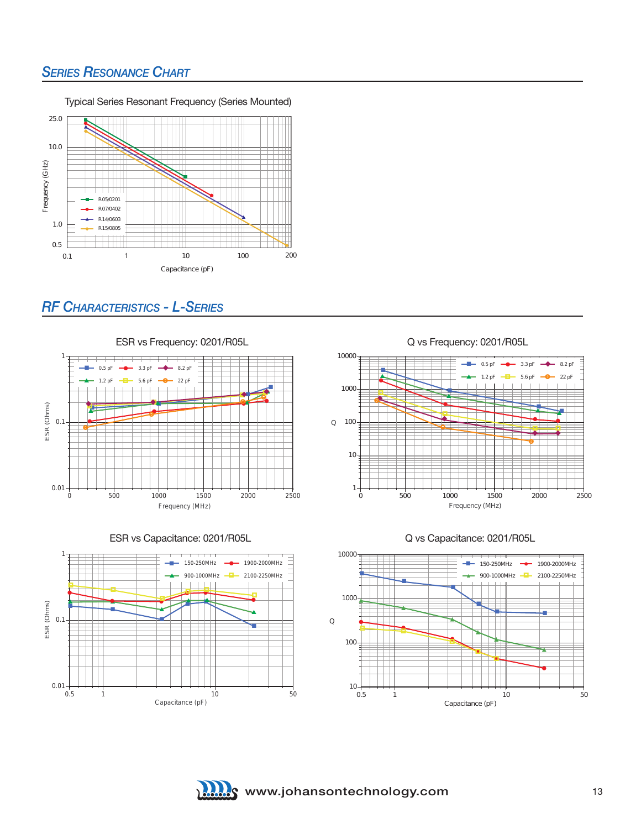#### *SERIES RESONANCE CHART*



#### *RF CHaRaCTeRiSTiCS - l-SeRieS*

ESR vs Frequency: 0201/R05L 1 8.2 pF  $0.5$  pF 3.3 pF 5.6 pF 22 pF  $\triangle$  1.2 pF 9  $\leftarrow$  $\bullet$ ۰ ٠  $\bullet$  and  $\bullet$  and  $\bullet$  and  $\bullet$  and  $\bullet$  and  $\bullet$  $\bullet$  and the set of  $\bullet$  $\overline{\ }$ <u> a shi a shekara ta 1991 a shekara ta 1991 a shekara ta 1991 a shekara ta 1991 a shekara ta 1991 a shekara ta 1991 a shekara ta 1991 a shekara ta 1991 a shekara ta 1991 a shekara ta 1991 a shekara ta 1991 a shekara ta 199</u> ESR (Ohms) **THE REAL PROPERTY** ESR (Ohms) E ٠ € 0.1 ٠ Ø 0.01 0 500 1000 1500 2000 2500 Frequency (MHz)





Q vs Frequency: 0201/R05L







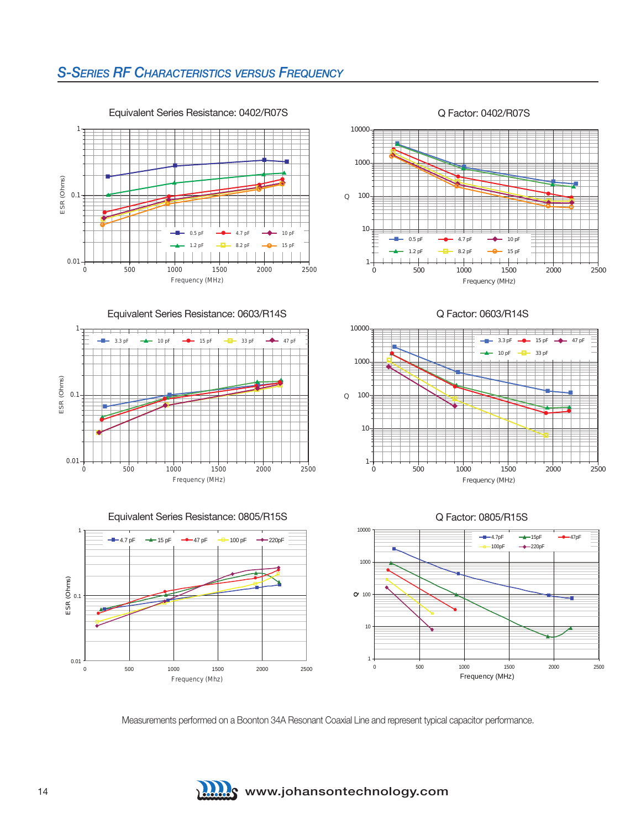### *S-SeRieS RF CHaRaCTeRiSTiCS VeRSuS FReQuenCy*



بصا ۸ Δ ▛▀▅ ٠, в  $\overline{\phantom{iiiiiiiiii}}$ ۷ ٥  $\bullet$   $\overline{\phantom{a}}$ Ā Ω  $\leftarrow$ A Ó.  $\bullet$   $\rightarrow$   $\bullet$ Ξ  $\bullet$ 1 10 100 1000 0 500 1000 1500 2000 2500 Q Frequency (MHz) 0.5 pF 1.2 pF 4.7 pF  $8.2<sub>b</sub>$  10 pF  $15$  p

۳

ń.

۷ Ė

٠

۸

۰

5

۰

1

10

100

Q

1000

10000

10000

Equivalent Series Resistance: 0603/R14S







Q Factor: 0805/R15S

0 500 1000 1500 2000 2500

 $3.3<sub>p</sub>$  $10<sub>1</sub>$ 

Q Factor: 0603/R14S

Q Factor: 0402/R07S

Frequency (MHz)

▝▅▅

 $47<sub>p</sub>$ 

 15 pF 33 pF

 $\rightarrow$   $\rightarrow$ 

 $\overline{\phantom{a}}$ 



Measurements performed on a Boonton 34A Resonant Coaxial Line and represent typical capacitor performance.



14 **WEIGHT MANUSEUM** WWW.johansontechnology.com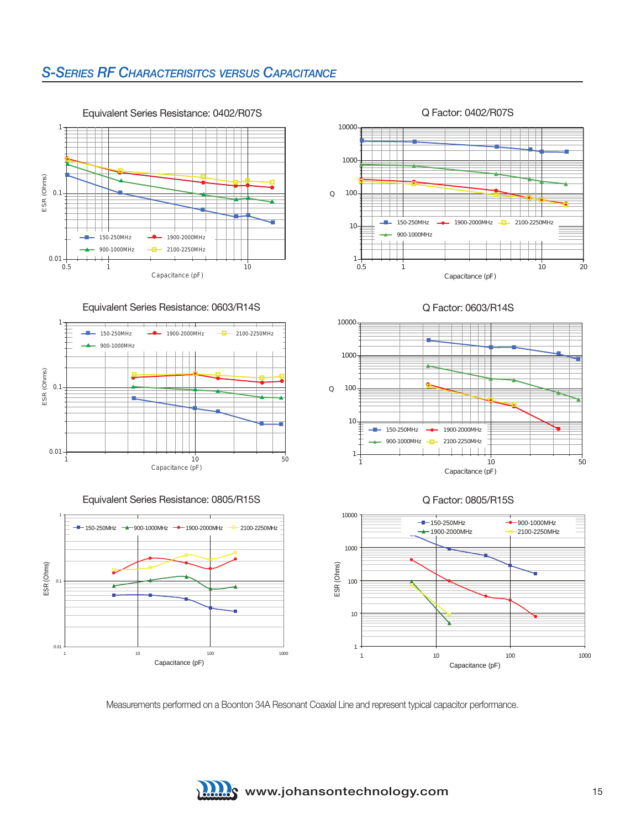#### *S-SeRieS RF CHaRaCTeRiSiTCS VeRSuS CapaCiTanCe*



Equivalent Series Resistance: 0603/R14S









Q Factor: 0603/R14S







Measurements performed on a Boonton 34A Resonant Coaxial Line and represent typical capacitor performance.

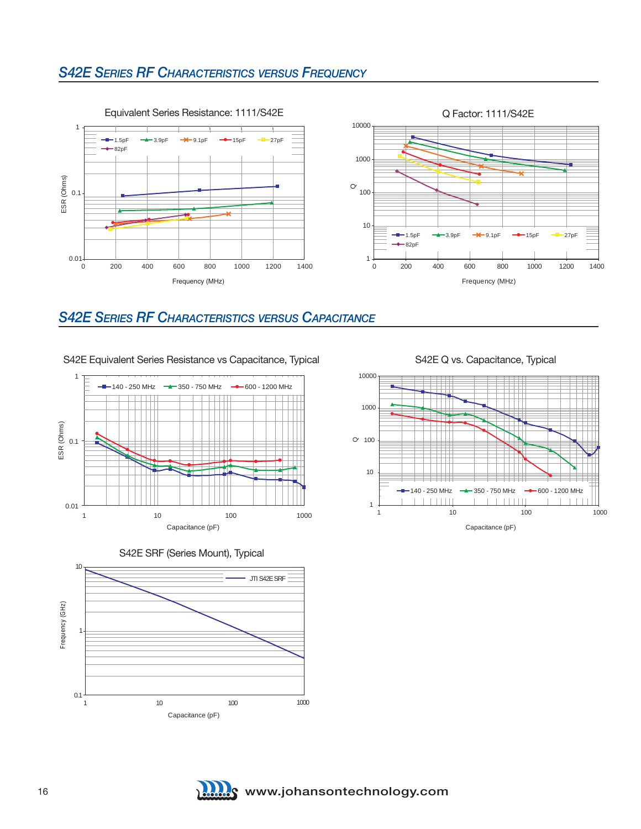#### *S42e SeRieS RF CHaRaCTeRiSTiCS VeRSuS FReQuenCy*



#### *S42e SeRieS RF CHaRaCTeRiSTiCS VeRSuS CapaCiTanCe*

#### S42E Equivalent Series Resistance vs Capacitance, Typical







S42E Q vs. Capacitance, Typical



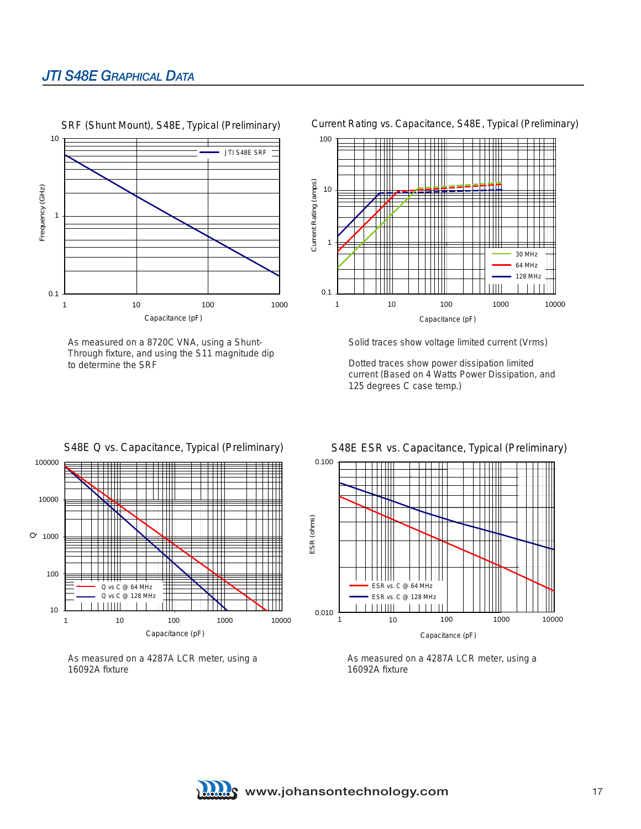#### *JTi S48e gRapHiCal DaTa*



As measured on a 8720C VNA, using a Shunt-Through fixture, and using the S11 magnitude dip to determine the SRF

Current Rating vs. Capacitance, S48E, Typical (Preliminary)



Solid traces show voltage limited current (Vrms)

Dotted traces show power dissipation limited current (Based on 4 Watts Power Dissipation, and 125 degrees C case temp.)



As measured on a 4287A LCR meter, using a 16092A fixture

S48E ESR vs. Capacitance, Typical (Preliminary)



As measured on a 4287A LCR meter, using a 16092A fixture

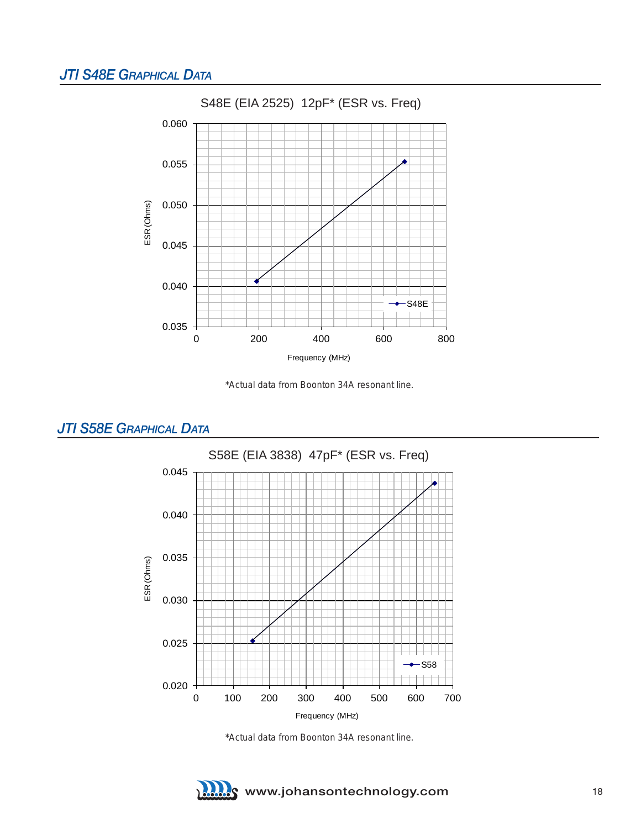#### *JTi S48e gRapHiCal DaTa*



\*Actual data from Boonton 34A resonant line.



#### *JTi S58e gRapHiCal DaTa*

\*Actual data from Boonton 34A resonant line.